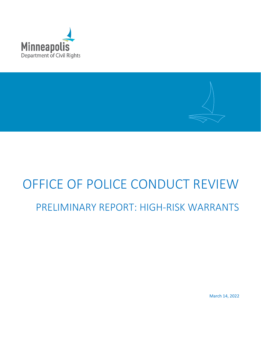



# OFFICE OF POLICE CONDUCT REVIEW

# PRELIMINARY REPORT: HIGH-RISK WARRANTS

March 14, 2022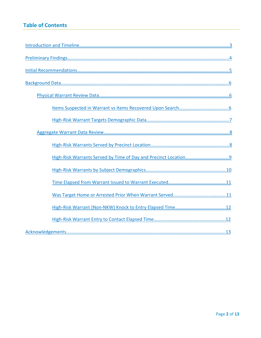# **Table of Contents**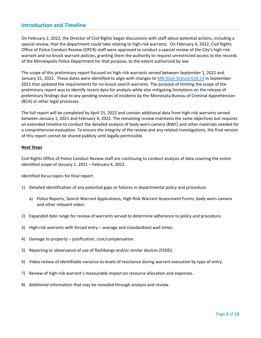#### <span id="page-2-0"></span>**Introduction and Timeline**

On February 2, 2022, the Director of Civil Rights began discussions with staff about potential actions, including a special review, that the department could take relating to high-risk warrants. On February 4, 2022, Civil Rights Office of Police Conduct Review (OPCR) staff were approved to conduct a special review of the City's high-risk warrant and no-knock warrant policies, granting them the authority to request unrestricted access to the records of the Minneapolis Police Department for that purpose, to the extent authorized by law.

The scope of this preliminary report focused on high-risk warrants served between September 1, 2021 and January 31, 2022. These dates were identified to align with changes to [MN State Statute 626.14](https://www.revisor.mn.gov/statutes/cite/626.14) in September 2021 that updated the requirements for no-knock search warrants. The purpose of limiting the scope of the preliminary report was to identify recent data for analysis while also mitigating limitations on the release of preliminary findings due to any pending reviews of incidents by the Minnesota Bureau of Criminal Apprehension (BCA) or other legal processes.

The full report will be completed by April 15, 2022 and contain additional data from high-risk warrants served between January 1, 2021 and February 4, 2022. The remaining review maintains the same objectives but requires an extended timeline to conduct the detailed analysis of body worn camera (BWC) and other materials needed for a comprehensive evaluation. To ensure the integrity of the review and any related investigations, the final version of this report cannot be shared publicly until legally permissible.

#### **Next Steps**

Civil Rights Office of Police Conduct Review staff are continuing to conduct analysis of data covering the entire identified scope of January 1, 2021 – February 4, 2022.

Identified focus topics for final report:

- 1) Detailed identification of any potential gaps or failures in departmental policy and procedure.
	- a) Police Reports, Search Warrant Applications, High-Risk Warrant Assessment Forms, body worn camera and other relevant video.
- 2) Expanded date range for review of warrants served to determine adherence to policy and procedure.
- 3) High-risk warrants with forced entry average and standardized wait times.
- 4) Damage to property justification, cost/compensation.
- 5) Reporting or observance of use of flashbangs and/or similar devices (FSDD).
- 6) Video review of identifiable variance to levels of resistance during warrant execution by type of entry.
- 7) Review of high-risk warrant's measurable impact on resource allocation and expenses.
- 8) Additional information that may be revealed through analysis and review.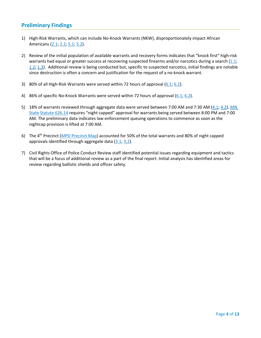#### <span id="page-3-0"></span>**Preliminary Findings**

- 1) High-Risk Warrants, which can include No-Knock Warrants (NKW), disproportionately impact African Americans [\(2.1;](#page-6-0) [2.2;](#page-6-1) [5.1;](#page-9-0) [5.2\)](#page-9-1).
- 2) Review of the initial population of available warrants and recovery forms indicates that "knock first" high-risk warrants had equal or greater success at recovering suspected firearms and/or narcotics during a search [\(1.1;](#page-5-2) [1.2;](#page-5-3) [1.3\)](#page-5-3). Additional review is being conducted but, specific to suspected narcotics, initial findings are notable since destruction is often a concern and justification for the request of a no-knock warrant.
- 3) 80% of all High-Risk Warrants were served within 72 hours of approval  $(6.1; 6.2)$  $(6.1; 6.2)$ .
- 4) 86% of specific No-Knock Warrants were served within 72 hours of approval  $(6.1; 6.2)$  $(6.1; 6.2)$ .
- 5) 18% of warrants reviewed through aggregate data were served between 7:00 AM and 7:30 AM [\(4.1;](#page-8-0) [4.2\)](#page-8-1). [MN](https://www.revisor.mn.gov/statutes/cite/626.14)  [State Statute 626.14](https://www.revisor.mn.gov/statutes/cite/626.14) requires "night capped" approval for warrants being served between 8:00 PM and 7:00 AM. The preliminary data indicates law enforcement queuing operations to commence as soon as the nightcap provision is lifted at 7:00 AM.
- 6) The 4<sup>th</sup> Precinct [\(MPD Precinct Map\)](https://www.arcgis.com/apps/InformationLookup/index.html?appid=31b57db92eed4893b1ad62e913de3d4d) accounted for 50% of the total warrants and 80% of night capped approvals identified through aggregate data  $(3.1, 3.2)$  $(3.1, 3.2)$ .
- 7) Civil Rights Office of Police Conduct Review staff identified potential issues regarding equipment and tactics that will be a focus of additional review as a part of the final report. Initial analysis has identified areas for review regarding ballistic shields and officer safety.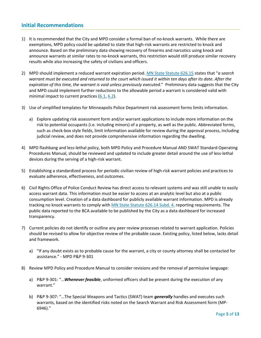#### <span id="page-4-0"></span>**Initial Recommendations**

- 1) It is recommended that the City and MPD consider a formal ban of no-knock warrants. While there are exemptions, MPD policy could be updated to state that high-risk warrants are restricted to knock and announce. Based on the preliminary data showing recovery of firearms and narcotics using knock and announce warrants at similar rates to no-knock warrants, this restriction would still produce similar recovery results while also increasing the safety of civilians and officers.
- 2) MPD should implement a reduced warrant expiration period. [MN State Statute 626.15](https://www.revisor.mn.gov/statutes/cite/626.15) states that "*a search warrant must be executed and returned to the court which issued it within ten days after its date. After the expiration of this time, the warrant is void unless previously executed*." Preliminary data suggests that the City and MPD could implement further reductions to the allowable period a warrant is considered valid with minimal impact to current practices [\(6.1,](#page-10-0) [6.2\)](#page-10-2).
- 3) Use of simplified templates for Minneapolis Police Department risk assessment forms limits information.
	- a) Explore updating risk assessment form and/or warrant applications to include more information on the risk to potential occupants (i.e. including minors) of a property, as well as the public. Abbreviated forms, such as check-box style fields, limit information available for review during the approval process, including judicial review, and does not provide comprehensive information regarding the dwelling.
- 4) MPD flashbang and less-lethal policy, both MPD Policy and Procedure Manual AND SWAT Standard Operating Procedures Manual, should be reviewed and updated to include greater detail around the use of less-lethal devices during the serving of a high-risk warrant.
- 5) Establishing a standardized process for periodic civilian review of high-risk warrant policies and practices to evaluate adherence, effectiveness, and outcomes.
- 6) Civil Rights Office of Police Conduct Review has direct access to relevant systems and was still unable to easily access warrant data. This information must be easier to access at an analytic level but also at a public consumption level. Creation of a data dashboard for publicly available warrant information. MPD is already tracking no knock warrants to comply with [MN State Statute](https://www.revisor.mn.gov/statutes/cite/626.14#stat.626.14.4) 626.14 Subd. 4. reporting requirements. The public data reported to the BCA available to be published by the City as a data dashboard for increased transparency.
- 7) Current policies do not identify or outline any peer review processes related to warrant application. Policies should be revised to allow for objective review of the probable cause. Existing policy, listed below, lacks detail and framework.
	- a) "If any doubt exists as to probable cause for the warrant, a city or county attorney shall be contacted for assistance." - MPD P&P 9-301
- 8) Review MPD Policy and Procedure Manual to consider revisions and the removal of permissive language:
	- a) P&P 9-301: "…*Whenever feasible*, uniformed officers shall be present during the execution of any warrant."
	- b) P&P 9-307: "…The Special Weapons and Tactics (SWAT) team *generally* handles and executes such warrants, based on the identified risks noted on the Search Warrant and Risk Assessment form (MP-6946)."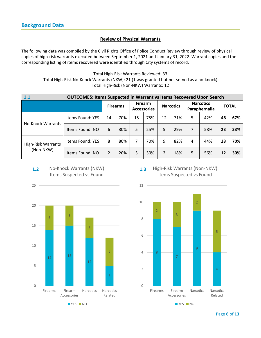#### **Review of Physical Warrants**

<span id="page-5-1"></span><span id="page-5-0"></span>The following data was compiled by the Civil Rights Office of Police Conduct Review through review of physical copies of high-risk warrants executed between September 1, 2021 and January 31, 2022. Warrant copies and the corresponding listing of items recovered were identified through City systems of record.

> Total High-Risk Warrants Reviewed: 33 Total High-Risk No-Knock Warrants (NKW): 21 (1 was granted but not served as a no-knock) Total High-Risk (Non-NKW) Warrants: 12

<span id="page-5-2"></span>

| 1.1                                    | <b>OUTCOMES: Items Suspected in Warrant vs Items Recovered Upon Search</b> |                 |     |                                      |     |                  |     |                                   |     |              |     |
|----------------------------------------|----------------------------------------------------------------------------|-----------------|-----|--------------------------------------|-----|------------------|-----|-----------------------------------|-----|--------------|-----|
|                                        |                                                                            | <b>Firearms</b> |     | <b>Firearm</b><br><b>Accessories</b> |     | <b>Narcotics</b> |     | <b>Narcotics</b><br>Paraphernalia |     | <b>TOTAL</b> |     |
| <b>No-Knock Warrants</b>               | Items Found: YES                                                           | 14              | 70% | 15                                   | 75% | 12               | 71% | 5                                 | 42% | 46           | 67% |
|                                        | Items Found: NO                                                            | 6               | 30% | 5                                    | 25% | 5.               | 29% | 7                                 | 58% | 23           | 33% |
| <b>High-Risk Warrants</b><br>(Non-NKW) | Items Found: YES                                                           | 8               | 80% | 7                                    | 70% | 9                | 82% | 4                                 | 44% | 28           | 70% |
|                                        | Items Found: NO                                                            | $\mathfrak{p}$  | 20% | 3                                    | 30% | $\overline{2}$   | 18% | 5                                 | 56% | 12           | 30% |

<span id="page-5-3"></span>

25





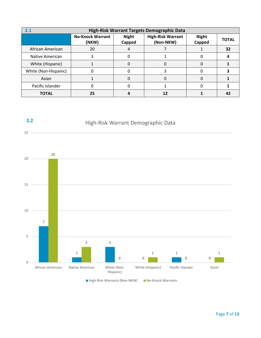<span id="page-6-0"></span>

| High-Risk Warrant Targets Demographic Data<br>2.1 |                                  |                        |                                       |                        |              |  |  |  |
|---------------------------------------------------|----------------------------------|------------------------|---------------------------------------|------------------------|--------------|--|--|--|
|                                                   | <b>No-Knock Warrant</b><br>(NKW) | <b>Night</b><br>Capped | <b>High-Risk Warrant</b><br>(Non-NKW) | <b>Night</b><br>Capped | <b>TOTAL</b> |  |  |  |
| African American                                  | 20                               |                        |                                       |                        | 32           |  |  |  |
| Native American                                   | 3                                |                        |                                       |                        |              |  |  |  |
| White (Hispanic)                                  |                                  |                        |                                       |                        |              |  |  |  |
| White (Non-Hispanic)                              |                                  |                        |                                       |                        |              |  |  |  |
| Asian                                             |                                  | 0                      |                                       |                        |              |  |  |  |
| Pacific Islander                                  |                                  |                        |                                       |                        |              |  |  |  |
| <b>TOTAL</b>                                      | 25                               |                        | 12                                    |                        | 42           |  |  |  |



<span id="page-6-1"></span>**2.2**

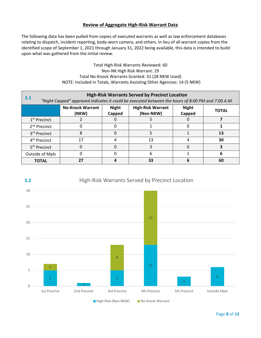#### **Review of Aggregate High-Risk Warrant Data**

<span id="page-7-0"></span>The following data has been pulled from copies of executed warrants as well as law enforcement databases relating to dispatch, incident reporting, body-worn camera, and others. In lieu of all warrant copies from the identified scope of September 1, 2021 through January 31, 2022 being available, this data is intended to build upon what was gathered from the initial review.

> Total High-Risk Warrants Reviewed: 60 Non-NK High Risk Warrant: 29 Total No-Knock Warrants Granted: 31 (28 NKW Used) NOTE: Included in Totals, Warrants Assisting Other Agencies: 14 (5 NKW)

<span id="page-7-1"></span>

| <b>High-Risk Warrants Served by Precinct Location</b><br>3.1<br>"Night Capped" approved indicates it could be executed between the hours of 8:00 PM and 7:00 A.M. |                                  |                        |                                       |                        |              |  |  |
|-------------------------------------------------------------------------------------------------------------------------------------------------------------------|----------------------------------|------------------------|---------------------------------------|------------------------|--------------|--|--|
|                                                                                                                                                                   | <b>No-Knock Warrant</b><br>(NKW) | <b>Night</b><br>Capped | <b>High-Risk Warrant</b><br>(Non-NKW) | <b>Night</b><br>Capped | <b>TOTAL</b> |  |  |
| 1 <sup>st</sup> Precinct                                                                                                                                          |                                  |                        |                                       |                        |              |  |  |
| 2 <sup>nd</sup> Precinct                                                                                                                                          |                                  |                        |                                       |                        |              |  |  |
| 3rd Precinct                                                                                                                                                      | 8                                | O                      |                                       |                        | 13           |  |  |
| 4 <sup>th</sup> Precinct                                                                                                                                          | 17                               |                        | 13                                    |                        | 30           |  |  |
| 5 <sup>th</sup> Precinct                                                                                                                                          | O                                |                        |                                       |                        |              |  |  |
| Outside of Mpls                                                                                                                                                   |                                  |                        | 6                                     |                        | 6            |  |  |
| <b>TOTAL</b>                                                                                                                                                      | 27                               |                        | 33                                    | 6                      | 60           |  |  |

<span id="page-7-2"></span>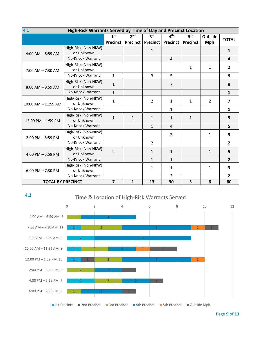<span id="page-8-0"></span>

| 4.1<br>High-Risk Warrants Served by Time of Day and Precinct Location |                     |                         |                 |                              |                 |                 |              |                         |
|-----------------------------------------------------------------------|---------------------|-------------------------|-----------------|------------------------------|-----------------|-----------------|--------------|-------------------------|
|                                                                       |                     | 1 <sup>st</sup>         | 2 <sub>nd</sub> | 3 <sup>rd</sup>              | 4 <sup>th</sup> | 5 <sup>th</sup> | Outside      | <b>TOTAL</b>            |
|                                                                       |                     | <b>Precinct</b>         |                 | <b>Precinct   Precinct  </b> | <b>Precinct</b> | <b>Precinct</b> | <b>Mpls</b>  |                         |
|                                                                       | High-Risk (Non-NKW) |                         |                 | $\mathbf{1}$                 |                 |                 |              | 1                       |
| $4:00$ AM $-6:59$ AM                                                  | or Unknown          |                         |                 |                              |                 |                 |              |                         |
|                                                                       | No-Knock Warrant    |                         |                 |                              | $\overline{4}$  |                 |              | $\overline{\mathbf{4}}$ |
|                                                                       | High-Risk (Non-NKW) |                         |                 |                              |                 | 1               | 1            | $\overline{2}$          |
| $7:00$ AM $-7:30$ AM                                                  | or Unknown          |                         |                 |                              |                 |                 |              |                         |
|                                                                       | No-Knock Warrant    | $\mathbf{1}$            |                 | $\overline{3}$               | 5               |                 |              | 9                       |
|                                                                       | High-Risk (Non-NKW) | $\mathbf{1}$            |                 |                              | $\overline{7}$  |                 |              | 8                       |
| $8:00$ AM $-9:59$ AM                                                  | or Unknown          |                         |                 |                              |                 |                 |              |                         |
|                                                                       | No-Knock Warrant    | $\mathbf{1}$            |                 |                              |                 |                 |              | 1                       |
|                                                                       | High-Risk (Non-NKW) | $\mathbf{1}$            |                 | $\overline{2}$               | $\mathbf{1}$    | $\mathbf{1}$    | 2            | $\overline{ }$          |
| 10:00 AM - 11:59 AM                                                   | or Unknown          |                         |                 |                              |                 |                 |              |                         |
|                                                                       | No-Knock Warrant    |                         |                 |                              | $\mathbf{1}$    |                 |              | $\mathbf{1}$            |
|                                                                       | High-Risk (Non-NKW) | $\mathbf{1}$            | $\mathbf{1}$    | $\mathbf{1}$                 | $\mathbf{1}$    | 1               |              | 5                       |
| 12:00 PM - 1:59 PM                                                    | or Unknown          |                         |                 |                              |                 |                 |              |                         |
|                                                                       | No-Knock Warrant    |                         |                 | $\mathbf{1}$                 | $\overline{4}$  |                 |              | 5                       |
|                                                                       | High-Risk (Non-NKW) |                         |                 |                              | $\overline{2}$  |                 | $\mathbf{1}$ | 3                       |
| $2:00$ PM $-3:59$ PM                                                  | or Unknown          |                         |                 |                              |                 |                 |              |                         |
|                                                                       | No-Knock Warrant    |                         |                 | $\overline{2}$               |                 |                 |              | $\overline{2}$          |
|                                                                       | High-Risk (Non-NKW) | $\overline{2}$          |                 | $\mathbf{1}$                 | $\mathbf{1}$    |                 | $\mathbf{1}$ | 5                       |
| 4:00 PM $-$ 5:59 PM                                                   | or Unknown          |                         |                 |                              |                 |                 |              |                         |
|                                                                       | No-Knock Warrant    |                         |                 | $\mathbf{1}$                 | $\mathbf{1}$    |                 |              | $\overline{2}$          |
|                                                                       | High-Risk (Non-NKW) |                         |                 | $\mathbf{1}$                 | 1               |                 | $\mathbf{1}$ | 3                       |
| $6:00$ PM $- 7:30$ PM                                                 | or Unknown          |                         |                 |                              |                 |                 |              |                         |
|                                                                       | No-Knock Warrant    |                         |                 |                              | $\overline{2}$  |                 |              | $\overline{2}$          |
| <b>TOTAL BY PRECINCT</b>                                              |                     | $\overline{\mathbf{z}}$ | $\mathbf{1}$    | 13                           | 30              | 3               | 6            | 60                      |

#### <span id="page-8-1"></span>**4.2**

# Time & Location of High-Risk Warrants Served



Page **9** of **13**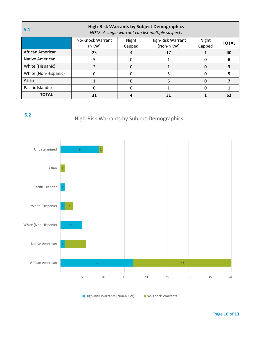<span id="page-9-0"></span>

| <b>High-Risk Warrants by Subject Demographics</b><br>5.1<br>NOTE: A single warrant can list multiple suspects |                           |                 |                                |                 |              |  |  |  |
|---------------------------------------------------------------------------------------------------------------|---------------------------|-----------------|--------------------------------|-----------------|--------------|--|--|--|
|                                                                                                               | No-Knock Warrant<br>(NKW) | Night<br>Capped | High-Risk Warrant<br>(Non-NKW) | Night<br>Capped | <b>TOTAL</b> |  |  |  |
| African American                                                                                              | 23                        |                 | 17                             |                 | 40           |  |  |  |
| Native American                                                                                               | 5                         | O               |                                |                 | b            |  |  |  |
| White (Hispanic)                                                                                              |                           | 0               |                                |                 |              |  |  |  |
| White (Non-Hispanic)                                                                                          |                           | ŋ               | 5                              |                 |              |  |  |  |
| Asian                                                                                                         |                           | O               | 6                              |                 |              |  |  |  |
| Pacific Islander                                                                                              |                           |                 |                                |                 |              |  |  |  |
| <b>TOTAL</b>                                                                                                  | 31                        |                 | 31                             |                 | 62           |  |  |  |

<span id="page-9-1"></span>

# High-Risk Warrants by Subject Demographics



■ High-Risk Warrants (Non-NKW) No-Knock Warrants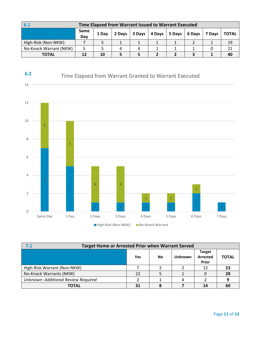<span id="page-10-0"></span>

| 6.1                    | Time Elapsed from Warrant Issued to Warrant Executed |       |        |  |                                     |  |  |        |              |
|------------------------|------------------------------------------------------|-------|--------|--|-------------------------------------|--|--|--------|--------------|
|                        | Same<br>Day                                          | 1 Dav | 2 Days |  | $3$ Days   4 Days   5 Days   6 Days |  |  | 7 Davs | <b>TOTAL</b> |
| High-Risk (Non-NKW)    |                                                      |       |        |  |                                     |  |  |        | 19           |
| No-Knock Warrant (NKW) |                                                      |       |        |  |                                     |  |  |        |              |
| <b>TOTAL</b>           | 12                                                   | 10    |        |  |                                     |  |  |        | 40           |

<span id="page-10-2"></span>

<span id="page-10-1"></span>

| 7.1                                 | <b>Target Home or Arrested Prior when Warrant Served</b> |    |         |                                                  |              |  |  |  |  |
|-------------------------------------|----------------------------------------------------------|----|---------|--------------------------------------------------|--------------|--|--|--|--|
|                                     | <b>Yes</b>                                               | No | Unknown | <b>Target</b><br><b>Arrested</b><br><b>Prior</b> | <b>TOTAL</b> |  |  |  |  |
| High-Risk Warrant (Non-NKW)         |                                                          |    |         |                                                  | -23          |  |  |  |  |
| No-Knock Warrants (NKW)             | 22                                                       |    |         |                                                  | 28           |  |  |  |  |
| Unknown: Additional Review Required |                                                          |    |         |                                                  | 9            |  |  |  |  |
| <b>TOTAL</b>                        | 31                                                       |    |         | 14                                               | 60           |  |  |  |  |

High-Risk (Non-NKW) No-Knock Warrant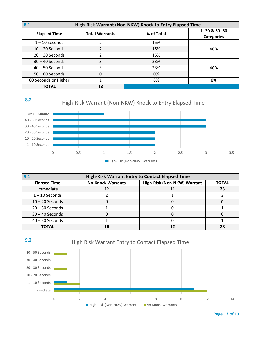<span id="page-11-0"></span>

| High-Risk Warrant (Non-NKW) Knock to Entry Elapsed Time<br>8.1 |                       |            |                                   |  |  |  |  |  |
|----------------------------------------------------------------|-----------------------|------------|-----------------------------------|--|--|--|--|--|
| <b>Elapsed Time</b>                                            | <b>Total Warrants</b> | % of Total | 1-30 & 30-60<br><b>Categories</b> |  |  |  |  |  |
| $1 - 10$ Seconds                                               |                       | 15%        |                                   |  |  |  |  |  |
| $10 - 20$ Seconds                                              |                       | 15%        | 46%                               |  |  |  |  |  |
| $20 - 30$ Seconds                                              | 2                     | 15%        |                                   |  |  |  |  |  |
| $30 - 40$ Seconds                                              | 3                     | 23%        |                                   |  |  |  |  |  |
| $40 - 50$ Seconds                                              | 3                     | 23%        | 46%                               |  |  |  |  |  |
| $50 - 60$ Seconds                                              | 0                     | 0%         |                                   |  |  |  |  |  |
| 60 Seconds or Higher                                           |                       | 8%         | 8%                                |  |  |  |  |  |
| <b>TOTAL</b>                                                   | 13                    |            |                                   |  |  |  |  |  |

**8.2**

# High-Risk Warrant (Non-NKW) Knock to Entry Elapsed Time



<span id="page-11-1"></span>

| <b>High-Risk Warrant Entry to Contact Elapsed Time</b><br>9.1 |                          |                             |              |  |  |  |  |  |
|---------------------------------------------------------------|--------------------------|-----------------------------|--------------|--|--|--|--|--|
| <b>Elapsed Time</b>                                           | <b>No-Knock Warrants</b> | High-Risk (Non-NKW) Warrant | <b>TOTAL</b> |  |  |  |  |  |
| Immediate                                                     |                          |                             | 23           |  |  |  |  |  |
| $1 - 10$ Seconds                                              |                          |                             |              |  |  |  |  |  |
| $10 - 20$ Seconds                                             |                          |                             |              |  |  |  |  |  |
| $20 - 30$ Seconds                                             |                          |                             |              |  |  |  |  |  |
| $30 - 40$ Seconds                                             |                          |                             |              |  |  |  |  |  |
| $40 - 50$ Seconds                                             |                          |                             |              |  |  |  |  |  |
| <b>TOTAL</b>                                                  | 16                       |                             | 28           |  |  |  |  |  |



Page **12** of **13**